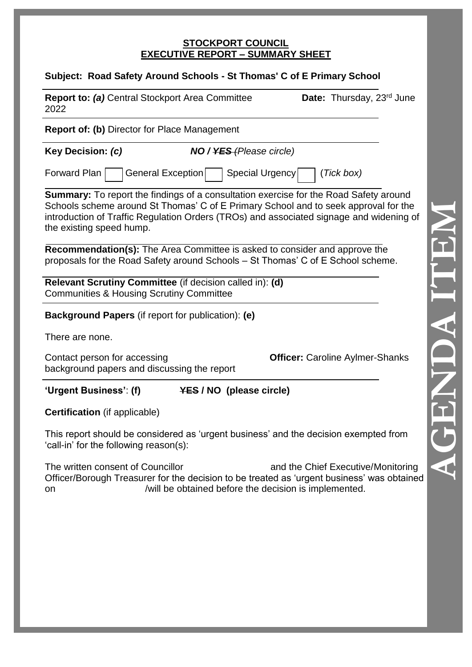#### **STOCKPORT COUNCIL EXECUTIVE REPORT – SUMMARY SHEET**

| Date: Thursday, 23 <sup>rd</sup> June                                                                                                                                                                                                                                          |
|--------------------------------------------------------------------------------------------------------------------------------------------------------------------------------------------------------------------------------------------------------------------------------|
|                                                                                                                                                                                                                                                                                |
|                                                                                                                                                                                                                                                                                |
|                                                                                                                                                                                                                                                                                |
| <b>Summary:</b> To report the findings of a consultation exercise for the Road Safety around<br>Schools scheme around St Thomas' C of E Primary School and to seek approval for the<br>introduction of Traffic Regulation Orders (TROs) and associated signage and widening of |
|                                                                                                                                                                                                                                                                                |
|                                                                                                                                                                                                                                                                                |
|                                                                                                                                                                                                                                                                                |
|                                                                                                                                                                                                                                                                                |
| <b>Officer:</b> Caroline Aylmer-Shanks                                                                                                                                                                                                                                         |
|                                                                                                                                                                                                                                                                                |
|                                                                                                                                                                                                                                                                                |
| This report should be considered as 'urgent business' and the decision exempted from                                                                                                                                                                                           |
| and the Chief Executive/Monitoring<br>Officer/Borough Treasurer for the decision to be treated as 'urgent business' was obtained                                                                                                                                               |
|                                                                                                                                                                                                                                                                                |
|                                                                                                                                                                                                                                                                                |
|                                                                                                                                                                                                                                                                                |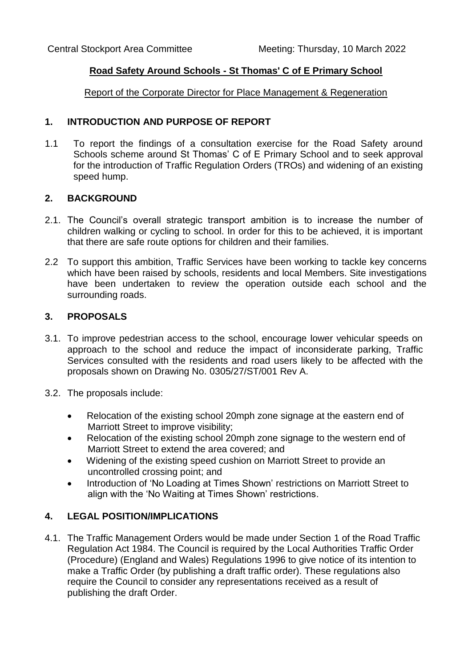### **Road Safety Around Schools - St Thomas' C of E Primary School**

Report of the Corporate Director for Place Management & Regeneration

### **1. INTRODUCTION AND PURPOSE OF REPORT**

1.1 To report the findings of a consultation exercise for the Road Safety around Schools scheme around St Thomas' C of E Primary School and to seek approval for the introduction of Traffic Regulation Orders (TROs) and widening of an existing speed hump.

### **2. BACKGROUND**

- 2.1. The Council's overall strategic transport ambition is to increase the number of children walking or cycling to school. In order for this to be achieved, it is important that there are safe route options for children and their families.
- 2.2 To support this ambition, Traffic Services have been working to tackle key concerns which have been raised by schools, residents and local Members. Site investigations have been undertaken to review the operation outside each school and the surrounding roads.

### **3. PROPOSALS**

- 3.1. To improve pedestrian access to the school, encourage lower vehicular speeds on approach to the school and reduce the impact of inconsiderate parking, Traffic Services consulted with the residents and road users likely to be affected with the proposals shown on Drawing No. 0305/27/ST/001 Rev A.
- 3.2. The proposals include:
	- Relocation of the existing school 20mph zone signage at the eastern end of Marriott Street to improve visibility;
	- Relocation of the existing school 20mph zone signage to the western end of Marriott Street to extend the area covered; and
	- Widening of the existing speed cushion on Marriott Street to provide an uncontrolled crossing point; and
	- Introduction of 'No Loading at Times Shown' restrictions on Marriott Street to align with the 'No Waiting at Times Shown' restrictions.

### **4. LEGAL POSITION/IMPLICATIONS**

4.1. The Traffic Management Orders would be made under Section 1 of the Road Traffic Regulation Act 1984. The Council is required by the Local Authorities Traffic Order (Procedure) (England and Wales) Regulations 1996 to give notice of its intention to make a Traffic Order (by publishing a draft traffic order). These regulations also require the Council to consider any representations received as a result of publishing the draft Order.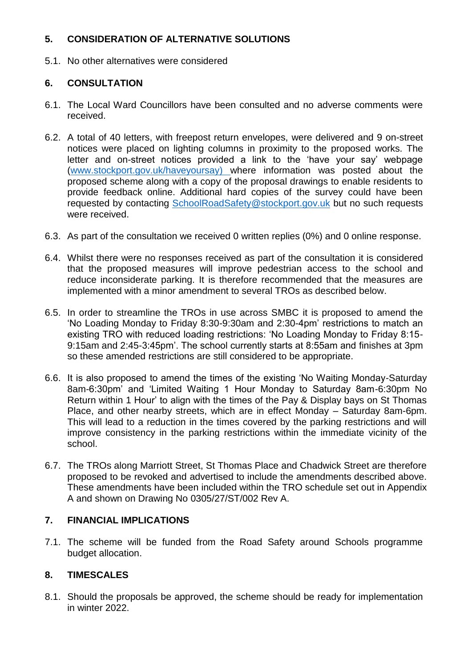## **5. CONSIDERATION OF ALTERNATIVE SOLUTIONS**

5.1. No other alternatives were considered

## **6. CONSULTATION**

- 6.1. The Local Ward Councillors have been consulted and no adverse comments were received.
- 6.2. A total of 40 letters, with freepost return envelopes, were delivered and 9 on-street notices were placed on lighting columns in proximity to the proposed works. The letter and on-street notices provided a link to the 'have your say' webpage [\(www.stockport.gov.uk/haveyoursay\)](http://www.stockport.gov.uk/haveyoursay) where information was posted about the proposed scheme along with a copy of the proposal drawings to enable residents to provide feedback online. Additional hard copies of the survey could have been requested by contacting [SchoolRoadSafety@stockport.gov.uk](mailto:SchoolRoadSafety@stockport.gov.uk) but no such requests were received.
- 6.3. As part of the consultation we received 0 written replies (0%) and 0 online response.
- 6.4. Whilst there were no responses received as part of the consultation it is considered that the proposed measures will improve pedestrian access to the school and reduce inconsiderate parking. It is therefore recommended that the measures are implemented with a minor amendment to several TROs as described below.
- 6.5. In order to streamline the TROs in use across SMBC it is proposed to amend the 'No Loading Monday to Friday 8:30-9:30am and 2:30-4pm' restrictions to match an existing TRO with reduced loading restrictions: 'No Loading Monday to Friday 8:15- 9:15am and 2:45-3:45pm'. The school currently starts at 8:55am and finishes at 3pm so these amended restrictions are still considered to be appropriate.
- 6.6. It is also proposed to amend the times of the existing 'No Waiting Monday-Saturday 8am-6:30pm' and 'Limited Waiting 1 Hour Monday to Saturday 8am-6:30pm No Return within 1 Hour' to align with the times of the Pay & Display bays on St Thomas Place, and other nearby streets, which are in effect Monday – Saturday 8am-6pm. This will lead to a reduction in the times covered by the parking restrictions and will improve consistency in the parking restrictions within the immediate vicinity of the school.
- 6.7. The TROs along Marriott Street, St Thomas Place and Chadwick Street are therefore proposed to be revoked and advertised to include the amendments described above. These amendments have been included within the TRO schedule set out in Appendix A and shown on Drawing No 0305/27/ST/002 Rev A.

### **7. FINANCIAL IMPLICATIONS**

7.1. The scheme will be funded from the Road Safety around Schools programme budget allocation.

### **8. TIMESCALES**

8.1. Should the proposals be approved, the scheme should be ready for implementation in winter 2022.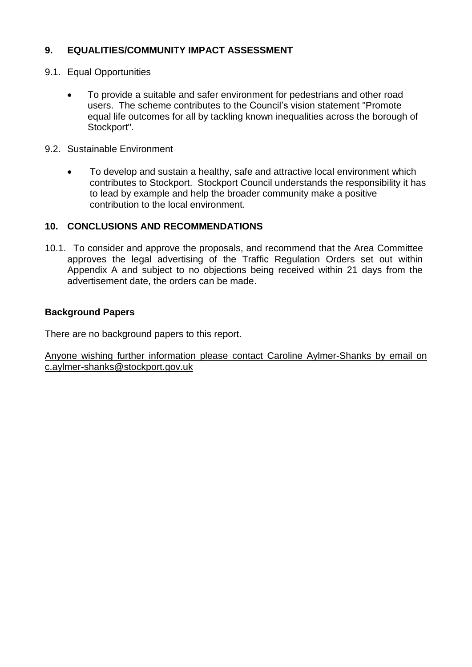## **9. EQUALITIES/COMMUNITY IMPACT ASSESSMENT**

- 9.1. Equal Opportunities
	- To provide a suitable and safer environment for pedestrians and other road users. The scheme contributes to the Council's vision statement "Promote equal life outcomes for all by tackling known inequalities across the borough of Stockport".
- 9.2. Sustainable Environment
	- To develop and sustain a healthy, safe and attractive local environment which contributes to Stockport. Stockport Council understands the responsibility it has to lead by example and help the broader community make a positive contribution to the local environment.

### **10. CONCLUSIONS AND RECOMMENDATIONS**

10.1. To consider and approve the proposals, and recommend that the Area Committee approves the legal advertising of the Traffic Regulation Orders set out within Appendix A and subject to no objections being received within 21 days from the advertisement date, the orders can be made.

### **Background Papers**

There are no background papers to this report.

Anyone wishing further information please contact Caroline Aylmer-Shanks by email on c.aylmer-shanks@stockport.gov.uk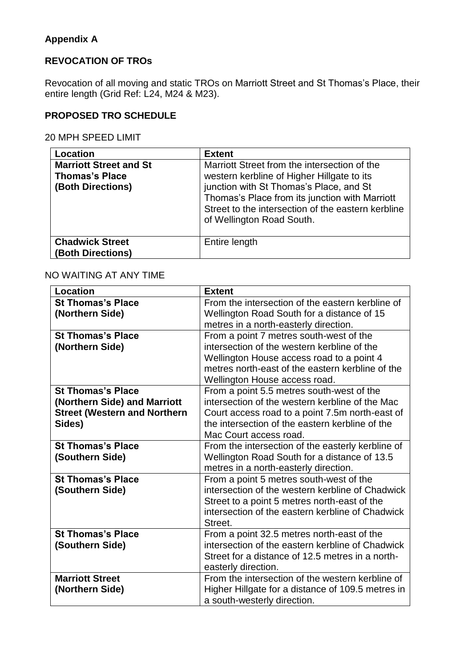# **Appendix A**

## **REVOCATION OF TROs**

Revocation of all moving and static TROs on Marriott Street and St Thomas's Place, their entire length (Grid Ref: L24, M24 & M23).

# **PROPOSED TRO SCHEDULE**

20 MPH SPEED LIMIT

| Location                                                                    | <b>Extent</b>                                                                                                                                                                                                                                                              |
|-----------------------------------------------------------------------------|----------------------------------------------------------------------------------------------------------------------------------------------------------------------------------------------------------------------------------------------------------------------------|
| <b>Marriott Street and St</b><br><b>Thomas's Place</b><br>(Both Directions) | Marriott Street from the intersection of the<br>western kerbline of Higher Hillgate to its<br>junction with St Thomas's Place, and St<br>Thomas's Place from its junction with Marriott<br>Street to the intersection of the eastern kerbline<br>of Wellington Road South. |
| <b>Chadwick Street</b><br>(Both Directions)                                 | Entire length                                                                                                                                                                                                                                                              |

## NO WAITING AT ANY TIME

| <b>Location</b>                     | <b>Extent</b>                                     |
|-------------------------------------|---------------------------------------------------|
| <b>St Thomas's Place</b>            | From the intersection of the eastern kerbline of  |
| (Northern Side)                     | Wellington Road South for a distance of 15        |
|                                     | metres in a north-easterly direction.             |
| <b>St Thomas's Place</b>            | From a point 7 metres south-west of the           |
| (Northern Side)                     | intersection of the western kerbline of the       |
|                                     | Wellington House access road to a point 4         |
|                                     | metres north-east of the eastern kerbline of the  |
|                                     | Wellington House access road.                     |
| <b>St Thomas's Place</b>            | From a point 5.5 metres south-west of the         |
| (Northern Side) and Marriott        | intersection of the western kerbline of the Mac   |
| <b>Street (Western and Northern</b> | Court access road to a point 7.5m north-east of   |
| Sides)                              | the intersection of the eastern kerbline of the   |
|                                     | Mac Court access road.                            |
| <b>St Thomas's Place</b>            | From the intersection of the easterly kerbline of |
| (Southern Side)                     | Wellington Road South for a distance of 13.5      |
|                                     | metres in a north-easterly direction.             |
| <b>St Thomas's Place</b>            | From a point 5 metres south-west of the           |
| (Southern Side)                     | intersection of the western kerbline of Chadwick  |
|                                     | Street to a point 5 metres north-east of the      |
|                                     | intersection of the eastern kerbline of Chadwick  |
|                                     | Street.                                           |
| <b>St Thomas's Place</b>            | From a point 32.5 metres north-east of the        |
| (Southern Side)                     | intersection of the eastern kerbline of Chadwick  |
|                                     | Street for a distance of 12.5 metres in a north-  |
|                                     | easterly direction.                               |
| <b>Marriott Street</b>              | From the intersection of the western kerbline of  |
| (Northern Side)                     | Higher Hillgate for a distance of 109.5 metres in |
|                                     | a south-westerly direction.                       |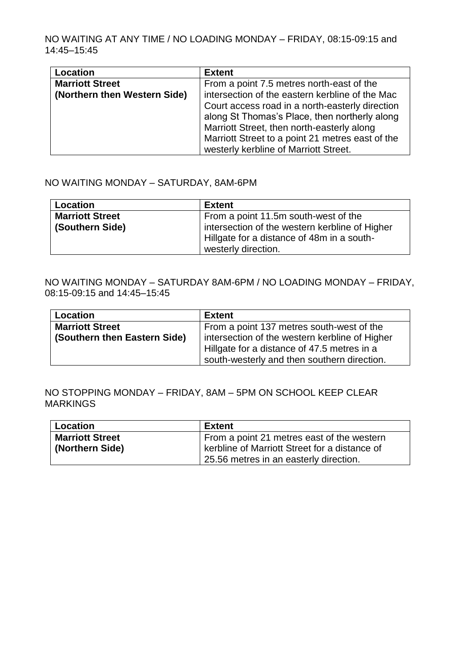NO WAITING AT ANY TIME / NO LOADING MONDAY – FRIDAY, 08:15-09:15 and 14:45–15:45

| Location                     | <b>Extent</b>                                    |
|------------------------------|--------------------------------------------------|
| <b>Marriott Street</b>       | From a point 7.5 metres north-east of the        |
| (Northern then Western Side) | intersection of the eastern kerbline of the Mac  |
|                              | Court access road in a north-easterly direction  |
|                              | along St Thomas's Place, then northerly along    |
|                              | Marriott Street, then north-easterly along       |
|                              | Marriott Street to a point 21 metres east of the |
|                              | westerly kerbline of Marriott Street.            |

### NO WAITING MONDAY – SATURDAY, 8AM-6PM

| <b>Location</b>        | <b>Extent</b>                                  |
|------------------------|------------------------------------------------|
| <b>Marriott Street</b> | From a point 11.5m south-west of the           |
| (Southern Side)        | intersection of the western kerbline of Higher |
|                        | Hillgate for a distance of 48m in a south-     |
|                        | westerly direction.                            |

#### NO WAITING MONDAY – SATURDAY 8AM-6PM / NO LOADING MONDAY – FRIDAY, 08:15-09:15 and 14:45–15:45

| Location                     | <b>Extent</b>                                  |
|------------------------------|------------------------------------------------|
| <b>Marriott Street</b>       | From a point 137 metres south-west of the      |
| (Southern then Eastern Side) | intersection of the western kerbline of Higher |
|                              | Hillgate for a distance of 47.5 metres in a    |
|                              | south-westerly and then southern direction.    |

### NO STOPPING MONDAY – FRIDAY, 8AM – 5PM ON SCHOOL KEEP CLEAR MARKINGS

| Location               | <b>Extent</b>                                        |
|------------------------|------------------------------------------------------|
| <b>Marriott Street</b> | From a point 21 metres east of the western           |
| Korthern Side)         | <b>kerbline of Marriott Street for a distance of</b> |
|                        | 25.56 metres in an easterly direction.               |